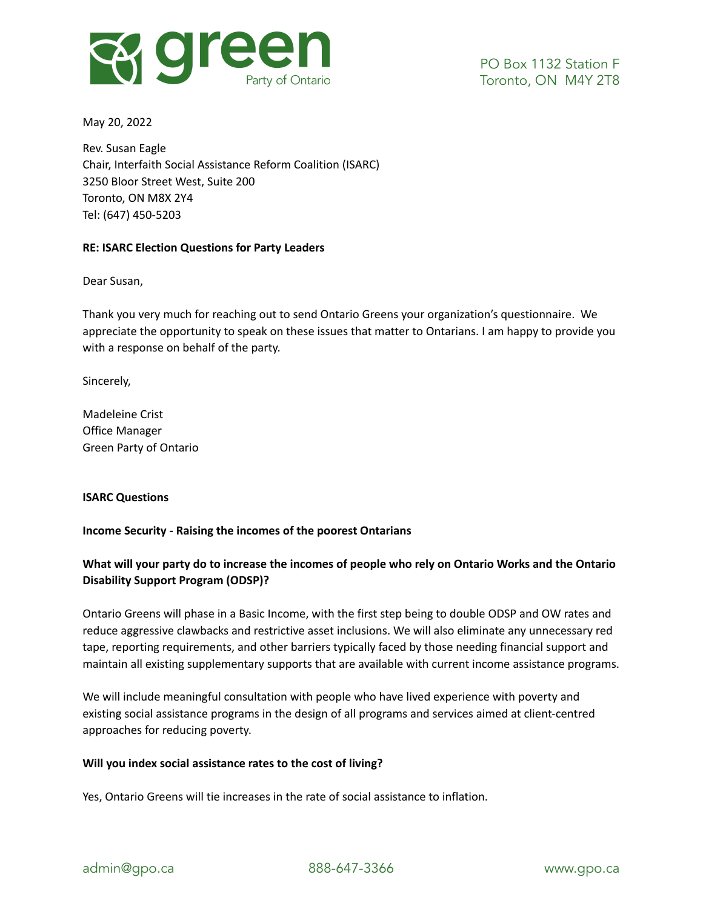

May 20, 2022

Rev. Susan Eagle Chair, Interfaith Social Assistance Reform Coalition (ISARC) 3250 Bloor Street West, Suite 200 Toronto, ON M8X 2Y4 Tel: (647) 450-5203

### **RE: ISARC Election Questions for Party Leaders**

Dear Susan,

Thank you very much for reaching out to send Ontario Greens your organization's questionnaire. We appreciate the opportunity to speak on these issues that matter to Ontarians. I am happy to provide you with a response on behalf of the party.

Sincerely,

Madeleine Crist Office Manager Green Party of Ontario

### **ISARC Questions**

### **Income Security - Raising the incomes of the poorest Ontarians**

# What will your party do to increase the incomes of people who rely on Ontario Works and the Ontario **Disability Support Program (ODSP)?**

Ontario Greens will phase in a Basic Income, with the first step being to double ODSP and OW rates and reduce aggressive clawbacks and restrictive asset inclusions. We will also eliminate any unnecessary red tape, reporting requirements, and other barriers typically faced by those needing financial support and maintain all existing supplementary supports that are available with current income assistance programs.

We will include meaningful consultation with people who have lived experience with poverty and existing social assistance programs in the design of all programs and services aimed at client-centred approaches for reducing poverty.

#### **Will you index social assistance rates to the cost of living?**

Yes, Ontario Greens will tie increases in the rate of social assistance to inflation.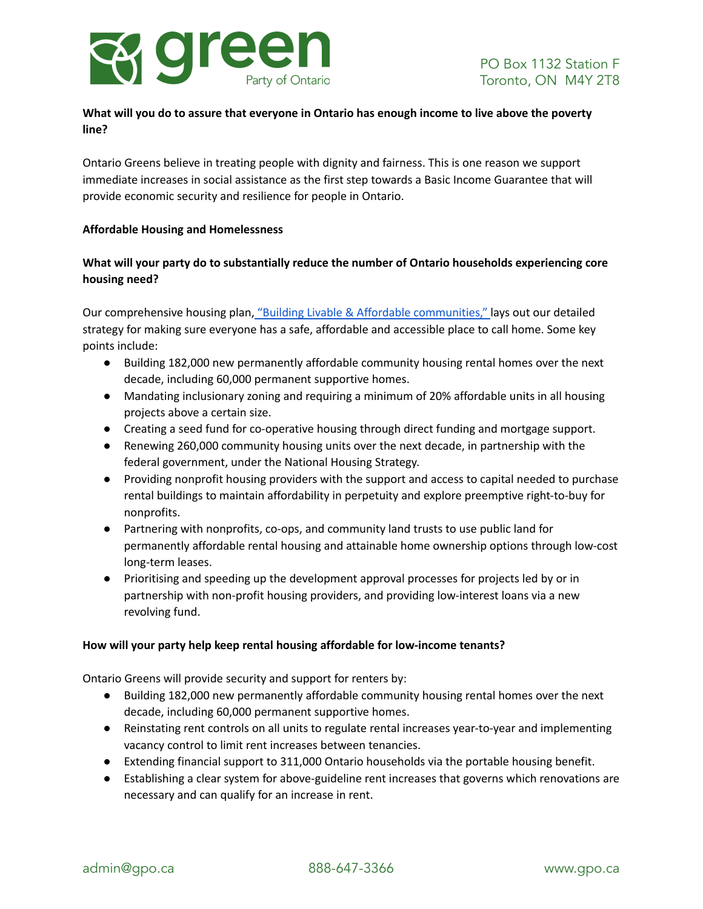

# **What will you do to assure that everyone in Ontario has enough income to live above the poverty line?**

Ontario Greens believe in treating people with dignity and fairness. This is one reason we support immediate increases in social assistance as the first step towards a Basic Income Guarantee that will provide economic security and resilience for people in Ontario.

### **Affordable Housing and Homelessness**

# **What will your party do to substantially reduce the number of Ontario households experiencing core housing need?**

Our comprehensive housing plan, "Building Livable & Affordable [communities,"](https://gpo.ca/housing/) lays out our detailed strategy for making sure everyone has a safe, affordable and accessible place to call home. Some key points include:

- Building 182,000 new permanently affordable community housing rental homes over the next decade, including 60,000 permanent supportive homes.
- Mandating inclusionary zoning and requiring a minimum of 20% affordable units in all housing projects above a certain size.
- Creating a seed fund for co-operative housing through direct funding and mortgage support.
- Renewing 260,000 community housing units over the next decade, in partnership with the federal government, under the National Housing Strategy.
- Providing nonprofit housing providers with the support and access to capital needed to purchase rental buildings to maintain affordability in perpetuity and explore preemptive right-to-buy for nonprofits.
- Partnering with nonprofits, co-ops, and community land trusts to use public land for permanently affordable rental housing and attainable home ownership options through low-cost long-term leases.
- Prioritising and speeding up the development approval processes for projects led by or in partnership with non-profit housing providers, and providing low-interest loans via a new revolving fund.

### **How will your party help keep rental housing affordable for low-income tenants?**

Ontario Greens will provide security and support for renters by:

- Building 182,000 new permanently affordable community housing rental homes over the next decade, including 60,000 permanent supportive homes.
- Reinstating rent controls on all units to regulate rental increases year-to-year and implementing vacancy control to limit rent increases between tenancies.
- Extending financial support to 311,000 Ontario households via the portable housing benefit.
- Establishing a clear system for above-guideline rent increases that governs which renovations are necessary and can qualify for an increase in rent.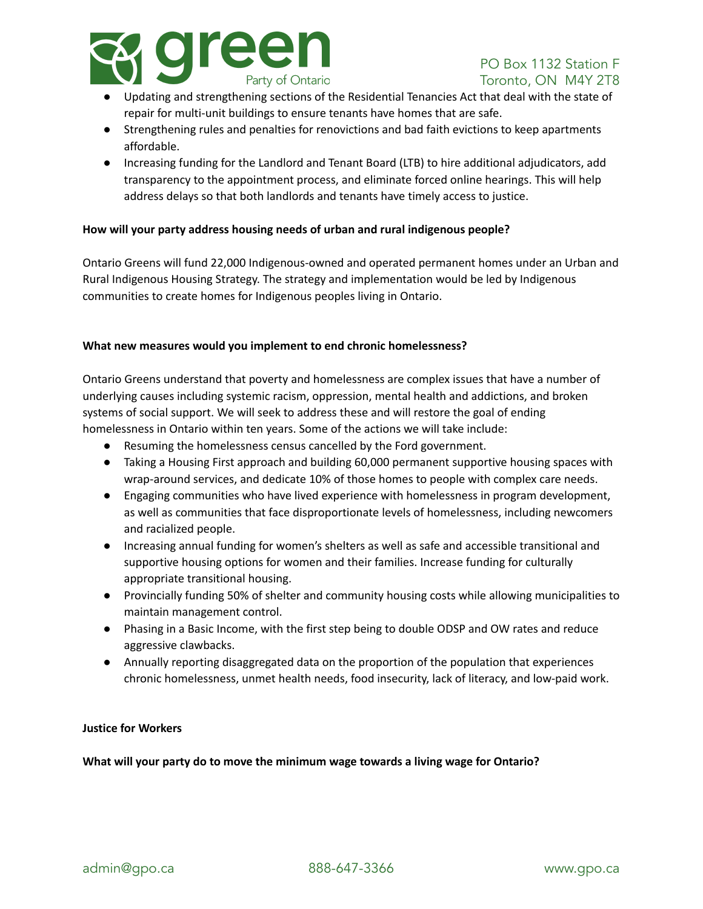

- Updating and strengthening sections of the Residential Tenancies Act that deal with the state of repair for multi-unit buildings to ensure tenants have homes that are safe.
- Strengthening rules and penalties for renovictions and bad faith evictions to keep apartments affordable.
- Increasing funding for the Landlord and Tenant Board (LTB) to hire additional adjudicators, add transparency to the appointment process, and eliminate forced online hearings. This will help address delays so that both landlords and tenants have timely access to justice.

### **How will your party address housing needs of urban and rural indigenous people?**

Ontario Greens will fund 22,000 Indigenous-owned and operated permanent homes under an Urban and Rural Indigenous Housing Strategy. The strategy and implementation would be led by Indigenous communities to create homes for Indigenous peoples living in Ontario.

#### **What new measures would you implement to end chronic homelessness?**

Ontario Greens understand that poverty and homelessness are complex issues that have a number of underlying causes including systemic racism, oppression, mental health and addictions, and broken systems of social support. We will seek to address these and will restore the goal of ending homelessness in Ontario within ten years. Some of the actions we will take include:

- Resuming the homelessness census cancelled by the Ford government.
- Taking a Housing First approach and building 60,000 permanent supportive housing spaces with wrap-around services, and dedicate 10% of those homes to people with complex care needs.
- Engaging communities who have lived experience with homelessness in program development, as well as communities that face disproportionate levels of homelessness, including newcomers and racialized people.
- Increasing annual funding for women's shelters as well as safe and accessible transitional and supportive housing options for women and their families. Increase funding for culturally appropriate transitional housing.
- Provincially funding 50% of shelter and community housing costs while allowing municipalities to maintain management control.
- Phasing in a Basic Income, with the first step being to double ODSP and OW rates and reduce aggressive clawbacks.
- Annually reporting disaggregated data on the proportion of the population that experiences chronic homelessness, unmet health needs, food insecurity, lack of literacy, and low-paid work.

### **Justice for Workers**

**What will your party do to move the minimum wage towards a living wage for Ontario?**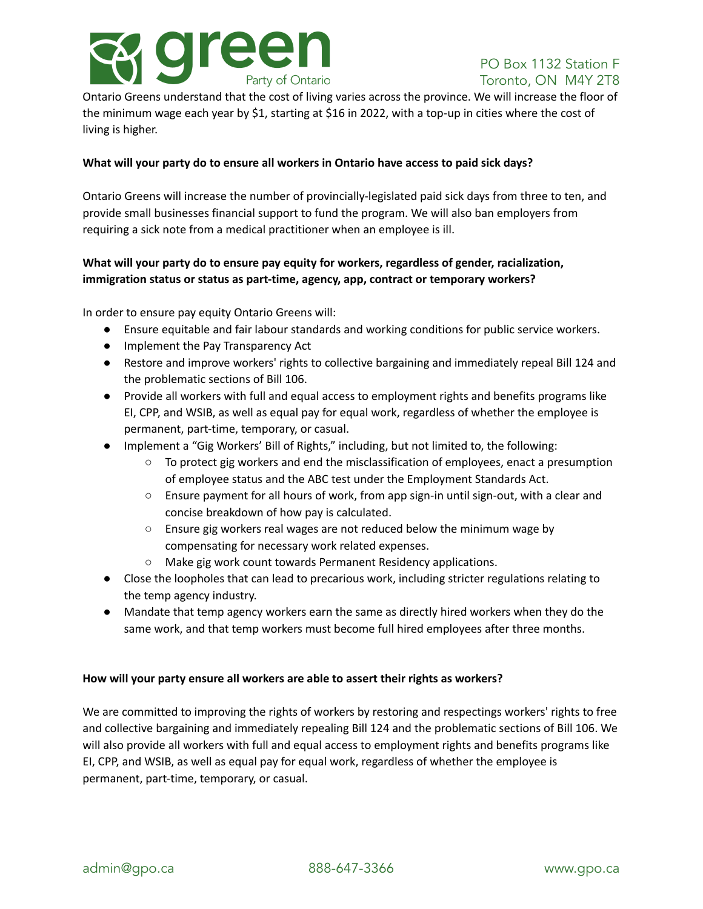

Ontario Greens understand that the cost of living varies across the province. We will increase the floor of the minimum wage each year by \$1, starting at \$16 in 2022, with a top-up in cities where the cost of living is higher.

### **What will your party do to ensure all workers in Ontario have access to paid sick days?**

Ontario Greens will increase the number of provincially-legislated paid sick days from three to ten, and provide small businesses financial support to fund the program. We will also ban employers from requiring a sick note from a medical practitioner when an employee is ill.

# **What will your party do to ensure pay equity for workers, regardless of gender, racialization, immigration status or status as part-time, agency, app, contract or temporary workers?**

In order to ensure pay equity Ontario Greens will:

- Ensure equitable and fair labour standards and working conditions for public service workers.
- Implement the Pay Transparency Act
- Restore and improve workers' rights to collective bargaining and immediately repeal Bill 124 and the problematic sections of Bill 106.
- Provide all workers with full and equal access to employment rights and benefits programs like EI, CPP, and WSIB, as well as equal pay for equal work, regardless of whether the employee is permanent, part-time, temporary, or casual.
- Implement a "Gig Workers' Bill of Rights," including, but not limited to, the following:
	- $\circ$  To protect gig workers and end the misclassification of employees, enact a presumption of employee status and the ABC test under the Employment Standards Act.
	- Ensure payment for all hours of work, from app sign-in until sign-out, with a clear and concise breakdown of how pay is calculated.
	- Ensure gig workers real wages are not reduced below the minimum wage by compensating for necessary work related expenses.
	- Make gig work count towards Permanent Residency applications.
- Close the loopholes that can lead to precarious work, including stricter regulations relating to the temp agency industry.
- Mandate that temp agency workers earn the same as directly hired workers when they do the same work, and that temp workers must become full hired employees after three months.

#### **How will your party ensure all workers are able to assert their rights as workers?**

We are committed to improving the rights of workers by restoring and respectings workers' rights to free and collective bargaining and immediately repealing Bill 124 and the problematic sections of Bill 106. We will also provide all workers with full and equal access to employment rights and benefits programs like EI, CPP, and WSIB, as well as equal pay for equal work, regardless of whether the employee is permanent, part-time, temporary, or casual.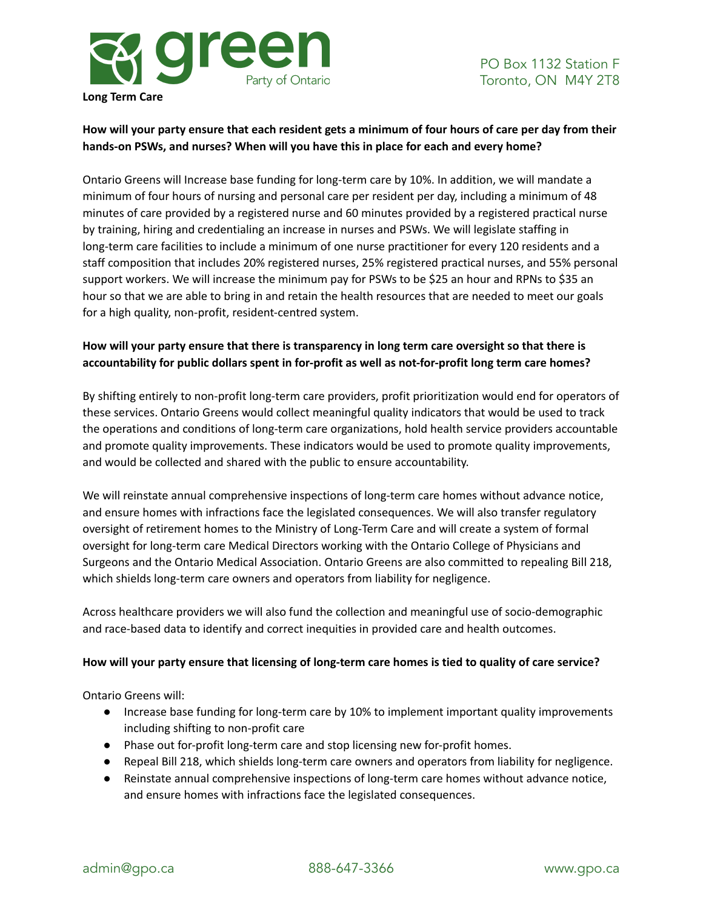

# How will your party ensure that each resident gets a minimum of four hours of care per day from their **hands-on PSWs, and nurses? When will you have this in place for each and every home?**

Ontario Greens will Increase base funding for long-term care by 10%. In addition, we will mandate a minimum of four hours of nursing and personal care per resident per day, including a minimum of 48 minutes of care provided by a registered nurse and 60 minutes provided by a registered practical nurse by training, hiring and credentialing an increase in nurses and PSWs. We will legislate staffing in long-term care facilities to include a minimum of one nurse practitioner for every 120 residents and a staff composition that includes 20% registered nurses, 25% registered practical nurses, and 55% personal support workers. We will increase the minimum pay for PSWs to be \$25 an hour and RPNs to \$35 an hour so that we are able to bring in and retain the health resources that are needed to meet our goals for a high quality, non-profit, resident-centred system.

# **How will your party ensure that there is transparency in long term care oversight so that there is accountability for public dollars spent in for-profit as well as not-for-profit long term care homes?**

By shifting entirely to non-profit long-term care providers, profit prioritization would end for operators of these services. Ontario Greens would collect meaningful quality indicators that would be used to track the operations and conditions of long-term care organizations, hold health service providers accountable and promote quality improvements. These indicators would be used to promote quality improvements, and would be collected and shared with the public to ensure accountability.

We will reinstate annual comprehensive inspections of long-term care homes without advance notice, and ensure homes with infractions face the legislated consequences. We will also transfer regulatory oversight of retirement homes to the Ministry of Long-Term Care and will create a system of formal oversight for long-term care Medical Directors working with the Ontario College of Physicians and Surgeons and the Ontario Medical Association. Ontario Greens are also committed to repealing Bill 218, which shields long-term care owners and operators from liability for negligence.

Across healthcare providers we will also fund the collection and meaningful use of socio-demographic and race-based data to identify and correct inequities in provided care and health outcomes.

# How will your party ensure that licensing of long-term care homes is tied to quality of care service?

Ontario Greens will:

- Increase base funding for long-term care by 10% to implement important quality improvements including shifting to non-profit care
- Phase out for-profit long-term care and stop licensing new for-profit homes.
- Repeal Bill 218, which shields long-term care owners and operators from liability for negligence.
- Reinstate annual comprehensive inspections of long-term care homes without advance notice, and ensure homes with infractions face the legislated consequences.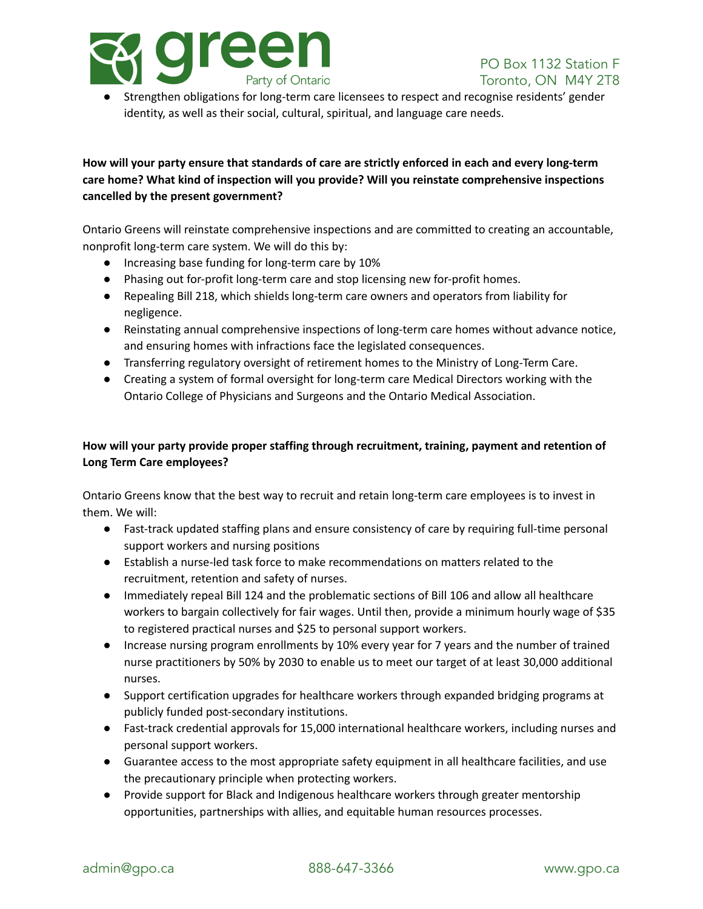

Strengthen obligations for long-term care licensees to respect and recognise residents' gender identity, as well as their social, cultural, spiritual, and language care needs.

# **How will your party ensure that standards of care are strictly enforced in each and every long-term care home? What kind of inspection will you provide? Will you reinstate comprehensive inspections cancelled by the present government?**

Ontario Greens will reinstate comprehensive inspections and are committed to creating an accountable, nonprofit long-term care system. We will do this by:

- Increasing base funding for long-term care by 10%
- Phasing out for-profit long-term care and stop licensing new for-profit homes.
- Repealing Bill 218, which shields long-term care owners and operators from liability for negligence.
- Reinstating annual comprehensive inspections of long-term care homes without advance notice, and ensuring homes with infractions face the legislated consequences.
- Transferring regulatory oversight of retirement homes to the Ministry of Long-Term Care.
- Creating a system of formal oversight for long-term care Medical Directors working with the Ontario College of Physicians and Surgeons and the Ontario Medical Association.

# **How will your party provide proper staffing through recruitment, training, payment and retention of Long Term Care employees?**

Ontario Greens know that the best way to recruit and retain long-term care employees is to invest in them. We will:

- Fast-track updated staffing plans and ensure consistency of care by requiring full-time personal support workers and nursing positions
- Establish a nurse-led task force to make recommendations on matters related to the recruitment, retention and safety of nurses.
- Immediately repeal Bill 124 and the problematic sections of Bill 106 and allow all healthcare workers to bargain collectively for fair wages. Until then, provide a minimum hourly wage of \$35 to registered practical nurses and \$25 to personal support workers.
- Increase nursing program enrollments by 10% every year for 7 years and the number of trained nurse practitioners by 50% by 2030 to enable us to meet our target of at least 30,000 additional nurses.
- Support certification upgrades for healthcare workers through expanded bridging programs at publicly funded post-secondary institutions.
- Fast-track credential approvals for 15,000 international healthcare workers, including nurses and personal support workers.
- Guarantee access to the most appropriate safety equipment in all healthcare facilities, and use the precautionary principle when protecting workers.
- Provide support for Black and Indigenous healthcare workers through greater mentorship opportunities, partnerships with allies, and equitable human resources processes.